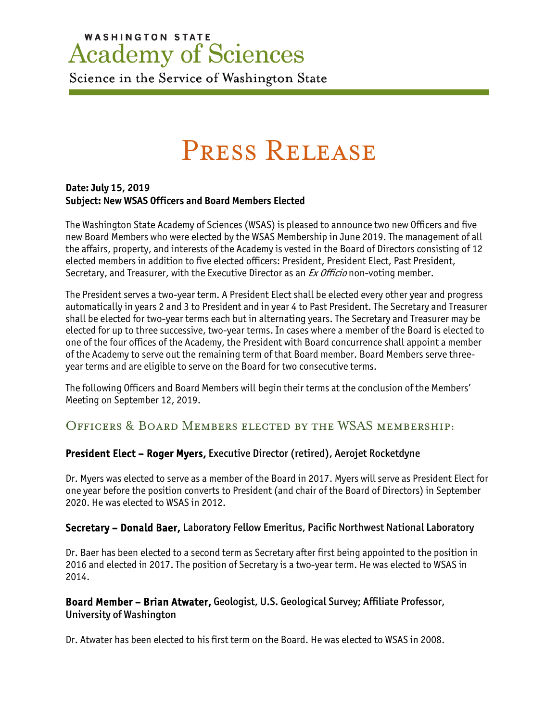# **WASHINGTON STATE Academy of Sciences**

Science in the Service of Washington State

# Press Release

#### **Date: July 15, 2019 Subject: New WSAS Officers and Board Members Elected**

The Washington State Academy of Sciences (WSAS) is pleased to announce two new Officers and five new Board Members who were elected by the WSAS Membership in June 2019. The management of all the affairs, property, and interests of the Academy is vested in the Board of Directors consisting of 12 elected members in addition to five elected officers: President, President Elect, Past President, Secretary, and Treasurer, with the Executive Director as an *Ex Officio* non-voting member.

The President serves a two-year term. A President Elect shall be elected every other year and progress automatically in years 2 and 3 to President and in year 4 to Past President. The Secretary and Treasurer shall be elected for two-year terms each but in alternating years. The Secretary and Treasurer may be elected for up to three successive, two-year terms. In cases where a member of the Board is elected to one of the four offices of the Academy, the President with Board concurrence shall appoint a member of the Academy to serve out the remaining term of that Board member. Board Members serve threeyear terms and are eligible to serve on the Board for two consecutive terms.

The following Officers and Board Members will begin their terms at the conclusion of the Members' Meeting on September 12, 2019.

### Officers & Board Members elected by the WSAS membership:

#### President Elect – Roger Myers, Executive Director (retired), Aerojet Rocketdyne

Dr. Myers was elected to serve as a member of the Board in 2017. Myers will serve as President Elect for one year before the position converts to President (and chair of the Board of Directors) in September 2020. He was elected to WSAS in 2012.

#### Secretary – Donald Baer, Laboratory Fellow Emeritus, Pacific Northwest National Laboratory

Dr. Baer has been elected to a second term as Secretary after first being appointed to the position in 2016 and elected in 2017. The position of Secretary is a two-year term. He was elected to WSAS in 2014.

#### Board Member – Brian Atwater, Geologist, U.S. Geological Survey; Affiliate Professor, University of Washington

Dr. Atwater has been elected to his first term on the Board. He was elected to WSAS in 2008.